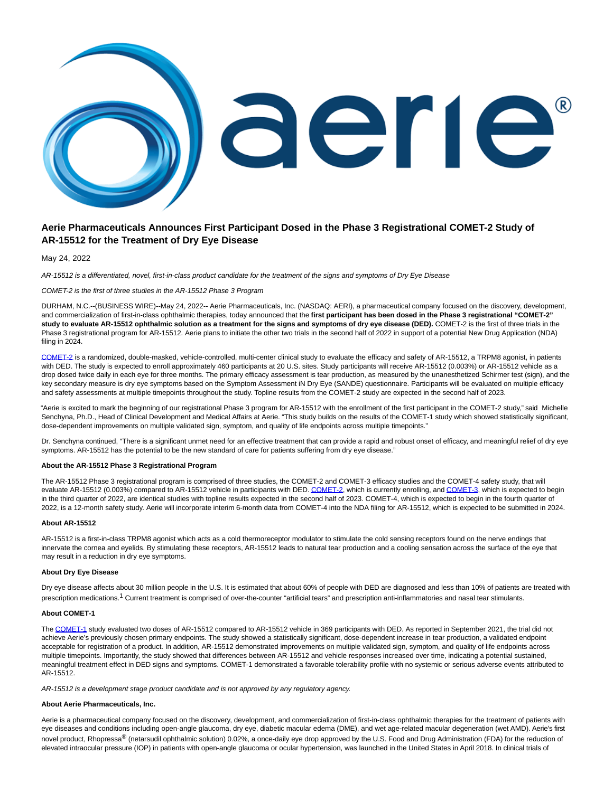

# **Aerie Pharmaceuticals Announces First Participant Dosed in the Phase 3 Registrational COMET-2 Study of AR-15512 for the Treatment of Dry Eye Disease**

May 24, 2022

AR-15512 is a differentiated, novel, first-in-class product candidate for the treatment of the signs and symptoms of Dry Eye Disease

## COMET-2 is the first of three studies in the AR-15512 Phase 3 Program

DURHAM, N.C.--(BUSINESS WIRE)--May 24, 2022-- Aerie Pharmaceuticals, Inc. (NASDAQ: AERI), a pharmaceutical company focused on the discovery, development, and commercialization of first-in-class ophthalmic therapies, today announced that the **first participant has been dosed in the Phase 3 registrational "COMET-2" study to evaluate AR-15512 ophthalmic solution as a treatment for the signs and symptoms of dry eye disease (DED).** COMET-2 is the first of three trials in the Phase 3 registrational program for AR-15512. Aerie plans to initiate the other two trials in the second half of 2022 in support of a potential New Drug Application (NDA) filing in 2024.

[COMET-2 i](https://cts.businesswire.com/ct/CT?id=smartlink&url=https%3A%2F%2Fwww.clinicaltrials.gov%2Fct2%2Fshow%2FNCT05285644%3Fterm%3DNCT05285644%26draw%3D2%26rank%3D1&esheet=52728954&newsitemid=20220524005496&lan=en-US&anchor=COMET-2&index=1&md5=49013f8455d3a889ee8dc65de5c69386)s a randomized, double-masked, vehicle-controlled, multi-center clinical study to evaluate the efficacy and safety of AR-15512, a TRPM8 agonist, in patients with DED. The study is expected to enroll approximately 460 participants at 20 U.S. sites. Study participants will receive AR-15512 (0.003%) or AR-15512 vehicle as a drop dosed twice daily in each eye for three months. The primary efficacy assessment is tear production, as measured by the unanesthetized Schirmer test (sign), and the key secondary measure is dry eye symptoms based on the Symptom Assessment iN Dry Eye (SANDE) questionnaire. Participants will be evaluated on multiple efficacy and safety assessments at multiple timepoints throughout the study. Topline results from the COMET-2 study are expected in the second half of 2023.

"Aerie is excited to mark the beginning of our registrational Phase 3 program for AR-15512 with the enrollment of the first participant in the COMET-2 study," said Michelle Senchyna, Ph.D., Head of Clinical Development and Medical Affairs at Aerie. "This study builds on the results of the COMET-1 study which showed statistically significant, dose-dependent improvements on multiple validated sign, symptom, and quality of life endpoints across multiple timepoints."

Dr. Senchyna continued, "There is a significant unmet need for an effective treatment that can provide a rapid and robust onset of efficacy, and meaningful relief of dry eye symptoms. AR-15512 has the potential to be the new standard of care for patients suffering from dry eye disease."

## **About the AR-15512 Phase 3 Registrational Program**

The AR-15512 Phase 3 registrational program is comprised of three studies, the COMET-2 and COMET-3 efficacy studies and the COMET-4 safety study, that will evaluate AR-15512 (0.003%) compared to AR-15512 vehicle in participants with DED[. COMET-2,](https://cts.businesswire.com/ct/CT?id=smartlink&url=https%3A%2F%2Fwww.clinicaltrials.gov%2Fct2%2Fshow%2FNCT05285644%3Fterm%3DNCT05285644%26draw%3D2%26rank%3D1&esheet=52728954&newsitemid=20220524005496&lan=en-US&anchor=COMET-2&index=2&md5=53e9f11596d66762f686e5599cc8a6d0) which is currently enrolling, an[d COMET-3,](https://cts.businesswire.com/ct/CT?id=smartlink&url=https%3A%2F%2Fwww.clinicaltrials.gov%2Fct2%2Fshow%2FNCT05360966%3Fterm%3DCOMET-3%26draw%3D2%26rank%3D2&esheet=52728954&newsitemid=20220524005496&lan=en-US&anchor=COMET-3&index=3&md5=8308d35b72915084105f201a5eecb48d) which is expected to begin in the third quarter of 2022, are identical studies with topline results expected in the second half of 2023. COMET-4, which is expected to begin in the fourth quarter of 2022, is a 12-month safety study. Aerie will incorporate interim 6-month data from COMET-4 into the NDA filing for AR-15512, which is expected to be submitted in 2024.

## **About AR-15512**

AR-15512 is a first-in-class TRPM8 agonist which acts as a cold thermoreceptor modulator to stimulate the cold sensing receptors found on the nerve endings that innervate the cornea and eyelids. By stimulating these receptors, AR-15512 leads to natural tear production and a cooling sensation across the surface of the eye that may result in a reduction in dry eye symptoms.

#### **About Dry Eye Disease**

Dry eye disease affects about 30 million people in the U.S. It is estimated that about 60% of people with DED are diagnosed and less than 10% of patients are treated with prescription medications.1 Current treatment is comprised of over-the-counter "artificial tears" and prescription anti-inflammatories and nasal tear stimulants.

## **About COMET-1**

The [COMET-1 s](https://cts.businesswire.com/ct/CT?id=smartlink&url=https%3A%2F%2Fwww.clinicaltrials.gov%2Fct2%2Fshow%2FNCT04498182%3Fterm%3DCOMET-1%26draw%3D2%26rank%3D1&esheet=52728954&newsitemid=20220524005496&lan=en-US&anchor=COMET-1&index=4&md5=8e6dbad6f024ee2a593fad1fbfd88517)tudy evaluated two doses of AR-15512 compared to AR-15512 vehicle in 369 participants with DED. As reported in September 2021, the trial did not achieve Aerie's previously chosen primary endpoints. The study showed a statistically significant, dose-dependent increase in tear production, a validated endpoint acceptable for registration of a product. In addition, AR-15512 demonstrated improvements on multiple validated sign, symptom, and quality of life endpoints across multiple timepoints. Importantly, the study showed that differences between AR-15512 and vehicle responses increased over time, indicating a potential sustained, meaningful treatment effect in DED signs and symptoms. COMET-1 demonstrated a favorable tolerability profile with no systemic or serious adverse events attributed to AR-15512.

AR-15512 is a development stage product candidate and is not approved by any regulatory agency.

#### **About Aerie Pharmaceuticals, Inc.**

Aerie is a pharmaceutical company focused on the discovery, development, and commercialization of first-in-class ophthalmic therapies for the treatment of patients with eye diseases and conditions including open-angle glaucoma, dry eye, diabetic macular edema (DME), and wet age-related macular degeneration (wet AMD). Aerie's first novel product, Rhopressa<sup>®</sup> (netarsudil ophthalmic solution) 0.02%, a once-daily eye drop approved by the U.S. Food and Drug Administration (FDA) for the reduction of elevated intraocular pressure (IOP) in patients with open-angle glaucoma or ocular hypertension, was launched in the United States in April 2018. In clinical trials of